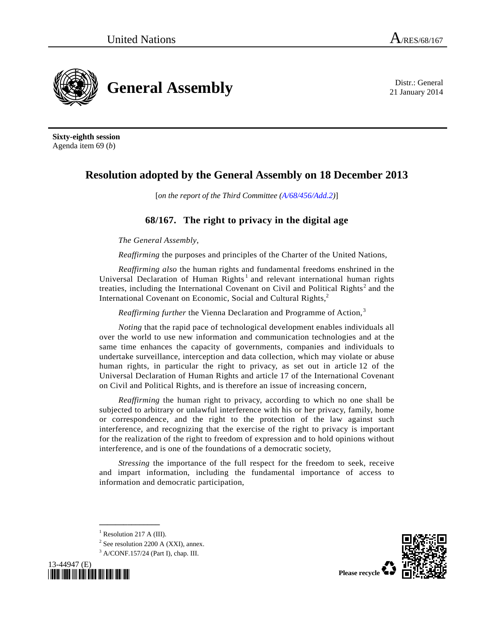21 January 2014



**Sixty-eighth session**  Agenda item 69 (*b*)

## **Resolution adopted by the General Assembly on 18 December 2013**

[*on the report of the Third Committee ([A/68/456/Add.2\)](http://undocs.org/A/68/456/Add.2)*]

## **68/167. The right to privacy in the digital age**

*The General Assembly*,

*Reaffirming* the purposes and principles of the Charter of the United Nations,

*Reaffirming also* the human rights and fundamental freedoms enshrined in the Universal Declaration of Human Rights<sup>[1](#page-0-0)</sup> and relevant international human rights treaties, including the International Covenant on Civil and Political Rights<sup>[2](#page-0-1)</sup> and the International Covenant on Economic, Social and Cultural Rights,<sup>2</sup>

*Reaffirming further* the Vienna Declaration and Programme of Action,<sup>[3](#page-0-2)</sup>

*Noting* that the rapid pace of technological development enables individuals all over the world to use new information and communication technologies and at the same time enhances the capacity of governments, companies and individuals to undertake surveillance, interception and data collection, which may violate or abuse human rights, in particular the right to privacy, as set out in article 12 of the Universal Declaration of Human Rights and article 17 of the International Covenant on Civil and Political Rights, and is therefore an issue of increasing concern,

*Reaffirming* the human right to privacy, according to which no one shall be subjected to arbitrary or unlawful interference with his or her privacy, family, home or correspondence, and the right to the protection of the law against such interference, and recognizing that the exercise of the right to privacy is important for the realization of the right to freedom of expression and to hold opinions without interference, and is one of the foundations of a democratic society,

*Stressing* the importance of the full respect for the freedom to seek, receive and impart information, including the fundamental importance of access to information and democratic participation,

<span id="page-0-2"></span><span id="page-0-1"></span><span id="page-0-0"></span><sup>3</sup> A/CONF.157/24 (Part I), chap. III.





**\_\_\_\_\_\_\_\_\_\_\_\_\_\_\_**   $<sup>1</sup>$  Resolution 217 A (III).</sup>

<sup>2</sup> See resolution 2200 A (XXI), annex.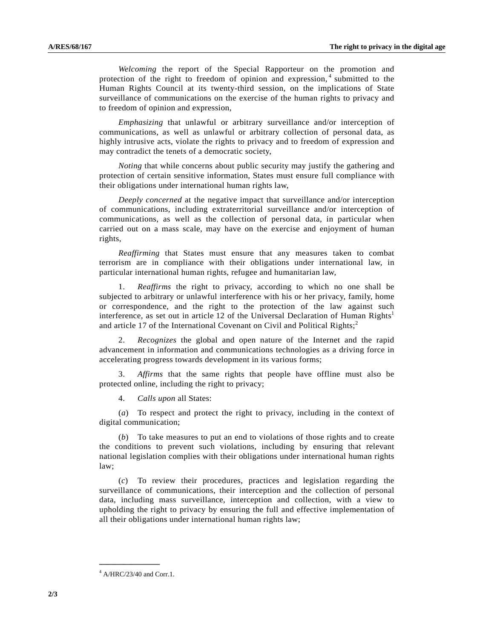*Welcoming* the report of the Special Rapporteur on the promotion and protection of the right to freedom of opinion and expression,<sup>[4](#page-1-0)</sup> submitted to the Human Rights Council at its twenty-third session, on the implications of State surveillance of communications on the exercise of the human rights to privacy and to freedom of opinion and expression,

*Emphasizing* that unlawful or arbitrary surveillance and/or interception of communications, as well as unlawful or arbitrary collection of personal data, as highly intrusive acts, violate the rights to privacy and to freedom of expression and may contradict the tenets of a democratic society,

*Noting* that while concerns about public security may justify the gathering and protection of certain sensitive information, States must ensure full compliance with their obligations under international human rights law,

*Deeply concerned* at the negative impact that surveillance and/or interception of communications, including extraterritorial surveillance and/or interception of communications, as well as the collection of personal data, in particular when carried out on a mass scale, may have on the exercise and enjoyment of human rights,

*Reaffirming* that States must ensure that any measures taken to combat terrorism are in compliance with their obligations under international law, in particular international human rights, refugee and humanitarian law,

 1. *Reaffirms* the right to privacy, according to which no one shall be subjected to arbitrary or unlawful interference with his or her privacy, family, home or correspondence, and the right to the protection of the law against such interference, as set out in article 12 of the Universal Declaration of Human Rights<sup>1</sup> and article 17 of the International Covenant on Civil and Political Rights;<sup>2</sup>

 2. *Recognizes* the global and open nature of the Internet and the rapid advancement in information and communications technologies as a driving force in accelerating progress towards development in its various forms;

 3. *Affirms* that the same rights that people have offline must also be protected online, including the right to privacy;

4. *Calls upon* all States:

 (*a*) To respect and protect the right to privacy, including in the context of digital communication;

 (*b*) To take measures to put an end to violations of those rights and to create the conditions to prevent such violations, including by ensuring that relevant national legislation complies with their obligations under international human rights law;

 (*c*) To review their procedures, practices and legislation regarding the surveillance of communications, their interception and the collection of personal data, including mass surveillance, interception and collection, with a view to upholding the right to privacy by ensuring the full and effective implementation of all their obligations under international human rights law;

**\_\_\_\_\_\_\_\_\_\_\_\_\_\_\_** 

<span id="page-1-0"></span><sup>4</sup> A/HRC/23/40 and Corr.1.